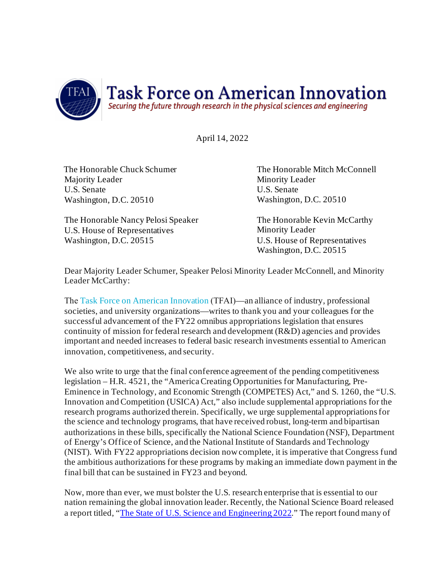

April 14, 2022

The Honorable Chuck Schumer Majority Leader U.S. Senate Washington, D.C. 20510

The Honorable Nancy Pelosi Speaker U.S. House of Representatives Washington, D.C. 20515

The Honorable Mitch McConnell Minority Leader U.S. Senate Washington, D.C. 20510

The Honorable Kevin McCarthy Minority Leader U.S. House of Representatives Washington, D.C. 20515

Dear Majority Leader Schumer, Speaker Pelosi Minority Leader McConnell, and Minority Leader McCarthy:

The [Task Force on American Innovation](http://www.innovationtaskforce.org/) (TFAI)—an alliance of industry, professional societies, and university organizations—writes to thank you and your colleagues for the successful advancement of the FY22 omnibus appropriations legislation that ensures continuity of mission for federal research and development (R&D) agencies and provides important and needed increases to federal basic research investments essential to American innovation, competitiveness, and security.

We also write to urge that the final conference agreement of the pending competitiveness legislation – H.R. 4521, the "America Creating Opportunities for Manufacturing, Pre-Eminence in Technology, and Economic Strength (COMPETES) Act," and S. 1260, the "U.S. Innovation and Competition (USICA) Act," also include supplemental appropriations for the research programs authorized therein. Specifically, we urge supplemental appropriations for the science and technology programs, that have received robust, long-term and bipartisan authorizations in these bills, specifically the National Science Foundation (NSF), Department of Energy's Office of Science, and the National Institute of Standards and Technology (NIST). With FY22 appropriations decision now complete, it is imperative that Congress fund the ambitious authorizations for these programs by making an immediate down payment in the final bill that can be sustained in FY23 and beyond.

Now, more than ever, we must bolster the U.S. research enterprise that is essential to our nation remaining the global innovation leader. Recently, the National Science Board released a report titled, ["The State of U.S. Science and Engineering 2022](https://ncses.nsf.gov/pubs/nsb20221)." The report found many of